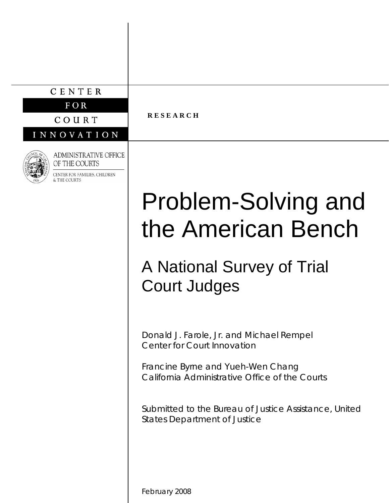# CENTER

 $FOR$ 

COURT

INNOVATION



**ADMINISTRATIVE OFFICE** OF THE COURTS

CENTER FOR FAMILIES, CHILDREN **S** THE COURTS

# **R E S E A R C H**

# Problem-Solving and the American Bench

# A National Survey of Trial Court Judges

Donald J. Farole, Jr. and Michael Rempel Center for Court Innovation

Francine Byrne and Yueh-Wen Chang California Administrative Office of the Courts

Submitted to the Bureau of Justice Assistance, United States Department of Justice

February 2008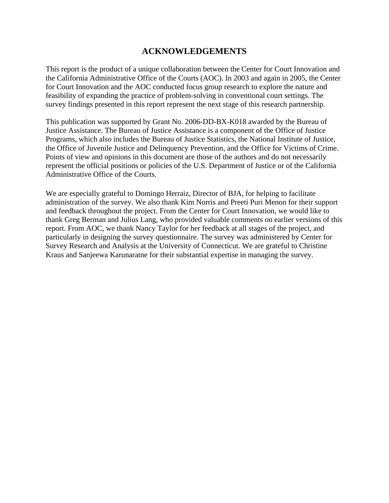# **ACKNOWLEDGEMENTS**

This report is the product of a unique collaboration between the Center for Court Innovation and the California Administrative Office of the Courts (AOC). In 2003 and again in 2005, the Center for Court Innovation and the AOC conducted focus group research to explore the nature and feasibility of expanding the practice of problem-solving in conventional court settings. The survey findings presented in this report represent the next stage of this research partnership.

This publication was supported by Grant No. 2006-DD-BX-K018 awarded by the Bureau of Justice Assistance. The Bureau of Justice Assistance is a component of the Office of Justice Programs, which also includes the Bureau of Justice Statistics, the National Institute of Justice, the Office of Juvenile Justice and Delinquency Prevention, and the Office for Victims of Crime. Points of view and opinions in this document are those of the authors and do not necessarily represent the official positions or policies of the U.S. Department of Justice or of the California Administrative Office of the Courts.

We are especially grateful to Domingo Herraiz, Director of BJA, for helping to facilitate administration of the survey. We also thank Kim Norris and Preeti Puri Menon for their support and feedback throughout the project. From the Center for Court Innovation, we would like to thank Greg Berman and Julius Lang, who provided valuable comments on earlier versions of this report. From AOC, we thank Nancy Taylor for her feedback at all stages of the project, and particularly in designing the survey questionnaire. The survey was administered by Center for Survey Research and Analysis at the University of Connecticut. We are grateful to Christine Kraus and Sanjeewa Karunaratne for their substantial expertise in managing the survey.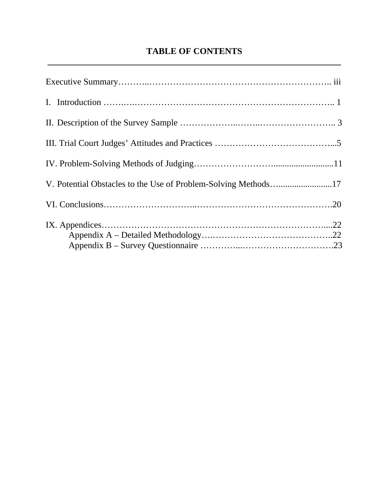# **TABLE OF CONTENTS \_\_\_\_\_\_\_\_\_\_\_\_\_\_\_\_\_\_\_\_\_\_\_\_\_\_\_\_\_\_\_\_\_\_\_\_\_\_\_\_\_\_\_\_\_\_\_\_\_\_\_\_\_\_\_\_\_\_\_\_\_\_\_\_\_\_**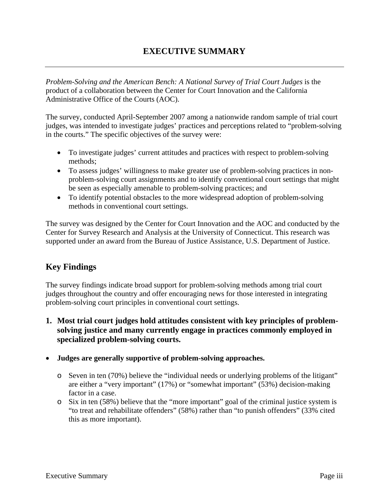# **EXECUTIVE SUMMARY**

*Problem-Solving and the American Bench: A National Survey of Trial Court Judges is the* product of a collaboration between the Center for Court Innovation and the California Administrative Office of the Courts (AOC).

The survey, conducted April-September 2007 among a nationwide random sample of trial court judges, was intended to investigate judges' practices and perceptions related to "problem-solving in the courts." The specific objectives of the survey were:

- To investigate judges' current attitudes and practices with respect to problem-solving methods;
- To assess judges' willingness to make greater use of problem-solving practices in nonproblem-solving court assignments and to identify conventional court settings that might be seen as especially amenable to problem-solving practices; and
- To identify potential obstacles to the more widespread adoption of problem-solving methods in conventional court settings.

The survey was designed by the Center for Court Innovation and the AOC and conducted by the Center for Survey Research and Analysis at the University of Connecticut. This research was supported under an award from the Bureau of Justice Assistance, U.S. Department of Justice.

# **Key Findings**

The survey findings indicate broad support for problem-solving methods among trial court judges throughout the country and offer encouraging news for those interested in integrating problem-solving court principles in conventional court settings.

**1. Most trial court judges hold attitudes consistent with key principles of problemsolving justice and many currently engage in practices commonly employed in specialized problem-solving courts.** 

#### • **Judges are generally supportive of problem-solving approaches.**

- o Seven in ten (70%) believe the "individual needs or underlying problems of the litigant" are either a "very important" (17%) or "somewhat important" (53%) decision-making factor in a case.
- o Six in ten (58%) believe that the "more important" goal of the criminal justice system is "to treat and rehabilitate offenders" (58%) rather than "to punish offenders" (33% cited this as more important).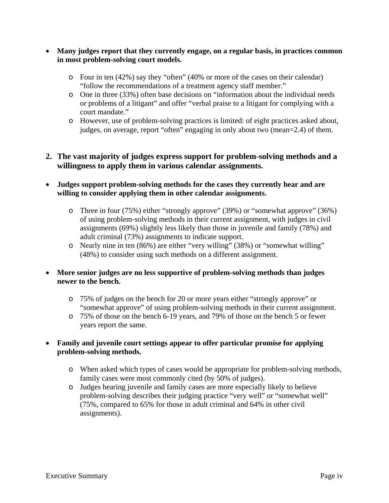- **Many judges report that they currently engage, on a regular basis, in practices common in most problem-solving court models.** 
	- o Four in ten (42%) say they "often" (40% or more of the cases on their calendar) "follow the recommendations of a treatment agency staff member."
	- o One in three (33%) often base decisions on "information about the individual needs or problems of a litigant" and offer "verbal praise to a litigant for complying with a court mandate."
	- o However, use of problem-solving practices is limited: of eight practices asked about, judges, on average, report "often" engaging in only about two (mean=2.4) of them.

# **2. The vast majority of judges express support for problem-solving methods and a willingness to apply them in various calendar assignments.**

- **Judges support problem-solving methods for the cases they currently hear and are willing to consider applying them in other calendar assignments.** 
	- o Three in four (75%) either "strongly approve" (39%) or "somewhat approve" (36%) of using problem-solving methods in their current assignment, with judges in civil assignments (69%) slightly less likely than those in juvenile and family (78%) and adult criminal (73%) assignments to indicate support.
	- o Nearly nine in ten (86%) are either "very willing" (38%) or "somewhat willing" (48%) to consider using such methods on a different assignment.
- **More senior judges are no less supportive of problem-solving methods than judges newer to the bench.** 
	- o 75% of judges on the bench for 20 or more years either "strongly approve" or "somewhat approve" of using problem-solving methods in their current assignment.
	- o 75% of those on the bench 6-19 years, and 79% of those on the bench 5 or fewer years report the same.
- **Family and juvenile court settings appear to offer particular promise for applying problem-solving methods.** 
	- o When asked which types of cases would be appropriate for problem-solving methods, family cases were most commonly cited (by 50% of judges).
	- o Judges hearing juvenile and family cases are more especially likely to believe problem-solving describes their judging practice "very well" or "somewhat well" (75%, compared to 65% for those in adult criminal and 64% in other civil assignments).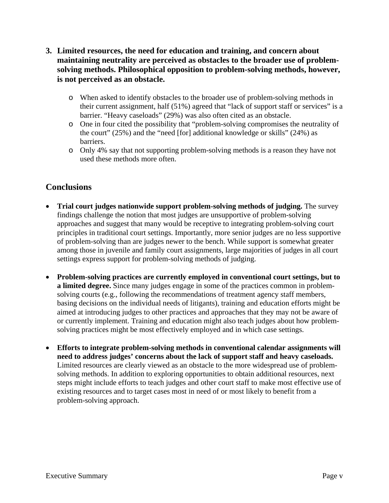- **3. Limited resources, the need for education and training, and concern about maintaining neutrality are perceived as obstacles to the broader use of problemsolving methods. Philosophical opposition to problem-solving methods, however, is not perceived as an obstacle.** 
	- o When asked to identify obstacles to the broader use of problem-solving methods in their current assignment, half (51%) agreed that "lack of support staff or services" is a barrier. "Heavy caseloads" (29%) was also often cited as an obstacle.
	- o One in four cited the possibility that "problem-solving compromises the neutrality of the court" (25%) and the "need [for] additional knowledge or skills" (24%) as barriers.
	- o Only 4% say that not supporting problem-solving methods is a reason they have not used these methods more often.

# **Conclusions**

- **Trial court judges nationwide support problem-solving methods of judging.** The survey findings challenge the notion that most judges are unsupportive of problem-solving approaches and suggest that many would be receptive to integrating problem-solving court principles in traditional court settings. Importantly, more senior judges are no less supportive of problem-solving than are judges newer to the bench. While support is somewhat greater among those in juvenile and family court assignments, large majorities of judges in all court settings express support for problem-solving methods of judging.
- **Problem-solving practices are currently employed in conventional court settings, but to a limited degree.** Since many judges engage in some of the practices common in problemsolving courts (e.g., following the recommendations of treatment agency staff members, basing decisions on the individual needs of litigants), training and education efforts might be aimed at introducing judges to other practices and approaches that they may not be aware of or currently implement. Training and education might also teach judges about how problemsolving practices might be most effectively employed and in which case settings.
- **Efforts to integrate problem-solving methods in conventional calendar assignments will need to address judges' concerns about the lack of support staff and heavy caseloads.**  Limited resources are clearly viewed as an obstacle to the more widespread use of problemsolving methods. In addition to exploring opportunities to obtain additional resources, next steps might include efforts to teach judges and other court staff to make most effective use of existing resources and to target cases most in need of or most likely to benefit from a problem-solving approach.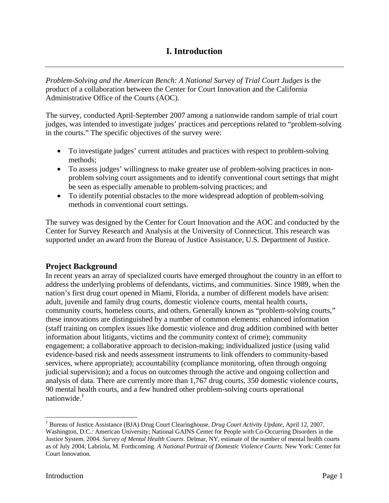# **I. Introduction**

*Problem-Solving and the American Bench: A National Survey of Trial Court Judges is the* product of a collaboration between the Center for Court Innovation and the California Administrative Office of the Courts (AOC).

The survey, conducted April-September 2007 among a nationwide random sample of trial court judges, was intended to investigate judges' practices and perceptions related to "problem-solving in the courts." The specific objectives of the survey were:

- To investigate judges' current attitudes and practices with respect to problem-solving methods;
- To assess judges' willingness to make greater use of problem-solving practices in nonproblem solving court assignments and to identify conventional court settings that might be seen as especially amenable to problem-solving practices; and
- To identify potential obstacles to the more widespread adoption of problem-solving methods in conventional court settings.

The survey was designed by the Center for Court Innovation and the AOC and conducted by the Center for Survey Research and Analysis at the University of Connecticut. This research was supported under an award from the Bureau of Justice Assistance, U.S. Department of Justice.

# **Project Background**

In recent years an array of specialized courts have emerged throughout the country in an effort to address the underlying problems of defendants, victims, and communities. Since 1989, when the nation's first drug court opened in Miami, Florida, a number of different models have arisen: adult, juvenile and family drug courts, domestic violence courts, mental health courts, community courts, homeless courts, and others. Generally known as "problem-solving courts," these innovations are distinguished by a number of common elements: enhanced information (staff training on complex issues like domestic violence and drug addition combined with better information about litigants, victims and the community context of crime); community engagement; a collaborative approach to decision-making; individualized justice (using valid evidence-based risk and needs assessment instruments to link offenders to community-based services, where appropriate); accountability (compliance monitoring, often through ongoing judicial supervision); and a focus on outcomes through the active and ongoing collection and analysis of data. There are currently more than 1,767 drug courts, 350 domestic violence courts, 90 mental health courts, and a few hundred other problem-solving courts operational nationwide $<sup>1</sup>$ </sup>

<sup>&</sup>lt;sup>1</sup> Bureau of Justice Assistance (BJA) Drug Court Clearinghouse. *Drug Court Activity Update*, April 12, 2007, Washington, D.C.: American University; National GAINS Center for People with Co-Occurring Disorders in the Justice System. 2004. *Survey of Mental Health Courts*. Delmar, NY, estimate of the number of mental health courts as of July 2004; Labriola, M. Forthcoming. *A National Portrait of Domestic Violence Courts.* New York: Center for Court Innovation.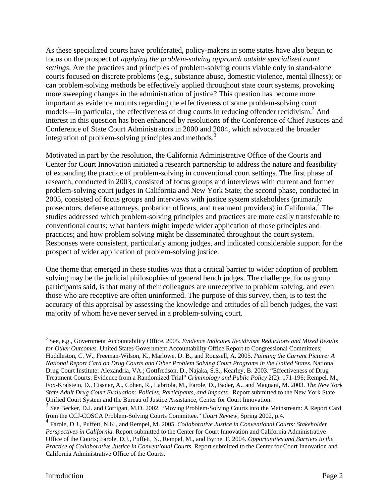As these specialized courts have proliferated, policy-makers in some states have also begun to focus on the prospect of *applying the problem-solving approach outside specialized court settings*. Are the practices and principles of problem-solving courts viable only in stand-alone courts focused on discrete problems (e.g., substance abuse, domestic violence, mental illness); or can problem-solving methods be effectively applied throughout state court systems, provoking more sweeping changes in the administration of justice? This question has become more important as evidence mounts regarding the effectiveness of some problem-solving court models—in particular, the effectiveness of drug courts in reducing offender recidivism.<sup>2</sup> And interest in this question has been enhanced by resolutions of the Conference of Chief Justices and Conference of State Court Administrators in 2000 and 2004, which advocated the broader integration of problem-solving principles and methods.<sup>3</sup>

Motivated in part by the resolution, the California Administrative Office of the Courts and Center for Court Innovation initiated a research partnership to address the nature and feasibility of expanding the practice of problem-solving in conventional court settings. The first phase of research, conducted in 2003, consisted of focus groups and interviews with current and former problem-solving court judges in California and New York State; the second phase, conducted in 2005, consisted of focus groups and interviews with justice system stakeholders (primarily prosecutors, defense attorneys, probation officers, and treatment providers) in California.<sup>4</sup> The studies addressed which problem-solving principles and practices are more easily transferable to conventional courts; what barriers might impede wider application of those principles and practices; and how problem solving might be disseminated throughout the court system. Responses were consistent, particularly among judges, and indicated considerable support for the prospect of wider application of problem-solving justice.

One theme that emerged in these studies was that a critical barrier to wider adoption of problem solving may be the judicial philosophies of general bench judges. The challenge, focus group participants said, is that many of their colleagues are unreceptive to problem solving, and even those who are receptive are often uninformed. The purpose of this survey, then, is to test the accuracy of this appraisal by assessing the knowledge and attitudes of all bench judges, the vast majority of whom have never served in a problem-solving court.

<sup>2</sup> See, e.g., Government Accountability Office. 2005. *Evidence Indicates Recidivism Reductions and Mixed Results for Other Outcomes.* United States Government Accountability Office Report to Congressional Committees; Huddleston, C. W., Freeman-Wilson, K., Marlowe, D. B., and Roussell, A. 2005. *Painting the Current Picture: A National Report Card on Drug Courts and Other Problem Solving Court Programs in the United States*. National Drug Court Institute: Alexandria, VA.; Gottfredson, D., Najaka, S.S., Kearley, B. 2003. "Effectiveness of Drug Treatment Courts: Evidence from a Randomized Trial" *Criminology and Public Policy* 2(2): 171-196; Rempel, M., Fox-Kralstein, D., Cissner, A., Cohen, R., Labriola, M., Farole, D., Bader, A., and Magnani, M. 2003. *The New York State Adult Drug Court Evaluation: Policies, Participants, and Impacts.* Report submitted to the New York State Unified Court System and the Bureau of Justice Assistance, Center for Court Innovation.

<sup>&</sup>lt;sup>3</sup> See Becker, D.J. and Corrigan, M.D. 2002. "Moving Problem-Solving Courts into the Mainstream: A Report Card from the CCJ-COSCA Problem-Solving Courts Committee." *Court Review*, Spring 2002, p.4.

<sup>4</sup> Farole, D.J., Puffett, N.K., and Rempel, M. 2005. *Collaborative Justice in Conventional Courts: Stakeholder Perspectives in California*. Report submitted to the Center for Court Innovation and California Administrative Office of the Courts; Farole, D.J., Puffett, N., Rempel, M., and Byrne, F. 2004. *Opportunities and Barriers to the Practice of Collaborative Justice in Conventional Courts*. Report submitted to the Center for Court Innovation and California Administrative Office of the Courts.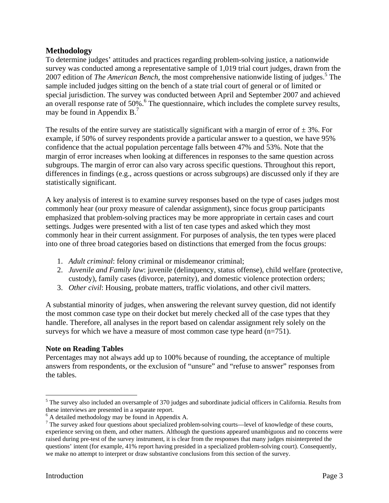## **Methodology**

To determine judges' attitudes and practices regarding problem-solving justice, a nationwide survey was conducted among a representative sample of 1,019 trial court judges, drawn from the 2007 edition of *The American Bench*, the most comprehensive nationwide listing of judges.<sup>5</sup> The sample included judges sitting on the bench of a state trial court of general or of limited or special jurisdiction. The survey was conducted between April and September 2007 and achieved an overall response rate of 50%.<sup>6</sup> The questionnaire, which includes the complete survey results, may be found in Appendix  $B<sup>7</sup>$ 

The results of the entire survey are statistically significant with a margin of error of  $\pm$  3%. For example, if 50% of survey respondents provide a particular answer to a question, we have 95% confidence that the actual population percentage falls between 47% and 53%. Note that the margin of error increases when looking at differences in responses to the same question across subgroups. The margin of error can also vary across specific questions. Throughout this report, differences in findings (e.g., across questions or across subgroups) are discussed only if they are statistically significant.

A key analysis of interest is to examine survey responses based on the type of cases judges most commonly hear (our proxy measure of calendar assignment), since focus group participants emphasized that problem-solving practices may be more appropriate in certain cases and court settings. Judges were presented with a list of ten case types and asked which they most commonly hear in their current assignment. For purposes of analysis, the ten types were placed into one of three broad categories based on distinctions that emerged from the focus groups:

- 1. *Adult criminal*: felony criminal or misdemeanor criminal;
- 2. *Juvenile and Family law*: juvenile (delinquency, status offense), child welfare (protective, custody), family cases (divorce, paternity), and domestic violence protection orders;
- 3. *Other civil*: Housing, probate matters, traffic violations, and other civil matters.

A substantial minority of judges, when answering the relevant survey question, did not identify the most common case type on their docket but merely checked all of the case types that they handle. Therefore, all analyses in the report based on calendar assignment rely solely on the surveys for which we have a measure of most common case type heard (n=751).

#### **Note on Reading Tables**

Percentages may not always add up to 100% because of rounding, the acceptance of multiple answers from respondents, or the exclusion of "unsure" and "refuse to answer" responses from the tables.

<sup>&</sup>lt;sup>5</sup> The survey also included an oversample of 370 judges and subordinate judicial officers in California. Results from these interviews are presented in a separate report.

A detailed methodology may be found in Appendix A.

 $7$  The survey asked four questions about specialized problem-solving courts—level of knowledge of these courts, experience serving on them, and other matters. Although the questions appeared unambiguous and no concerns were raised during pre-test of the survey instrument, it is clear from the responses that many judges misinterpreted the questions' intent (for example, 41% report having presided in a specialized problem-solving court). Consequently, we make no attempt to interpret or draw substantive conclusions from this section of the survey.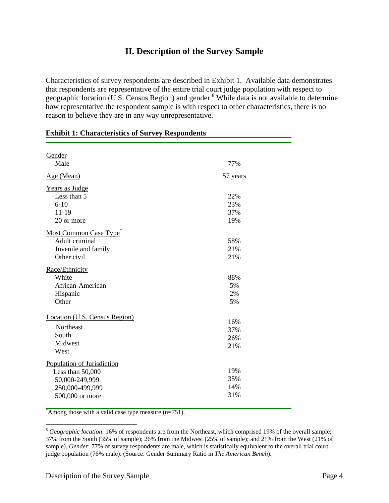# **II. Description of the Survey Sample**

Characteristics of survey respondents are described in Exhibit 1. Available data demonstrates that respondents are representative of the entire trial court judge population with respect to geographic location (U.S. Census Region) and gender.<sup>8</sup> While data is not available to determine how representative the respondent sample is with respect to other characteristics, there is no reason to believe they are in any way unrepresentative.

| Gender                        |          |
|-------------------------------|----------|
| Male                          | 77%      |
| Age (Mean)                    | 57 years |
| Years as Judge                |          |
| Less than 5                   | 22%      |
| $6 - 10$                      | 23%      |
| 11-19                         | 37%      |
| 20 or more                    | 19%      |
| Most Common Case Type         |          |
| Adult criminal                | 58%      |
| Juvenile and family           | 21%      |
| Other civil                   | 21%      |
| Race/Ethnicity                |          |
| White                         | 88%      |
| African-American              | 5%       |
| Hispanic                      | 2%       |
| Other                         | 5%       |
|                               |          |
| Location (U.S. Census Region) | 16%      |
| Northeast                     | 37%      |
| South                         | 26%      |
| Midwest                       | 21%      |
| West                          |          |
| Population of Jurisdiction    |          |
| Less than 50,000              | 19%      |
| 50,000-249,999                | 35%      |
| 250,000-499,999               | 14%      |
| 500,000 or more               | 31%      |
|                               |          |

#### **Exhibit 1: Characteristics of Survey Respondents**

\* Among those with a valid case type measure (n=751).

<sup>&</sup>lt;sup>8</sup> *Geographic location*: 16% of respondents are from the Northeast, which comprised 19% of the overall sample; 37% from the South (35% of sample); 26% from the Midwest (25% of sample); and 21% from the West (21% of sample). *Gender*: 77% of survey respondents are male, which is statistically equivalent to the overall trial court judge population (76% male). (Source: Gender Summary Ratio in *The American Bench*).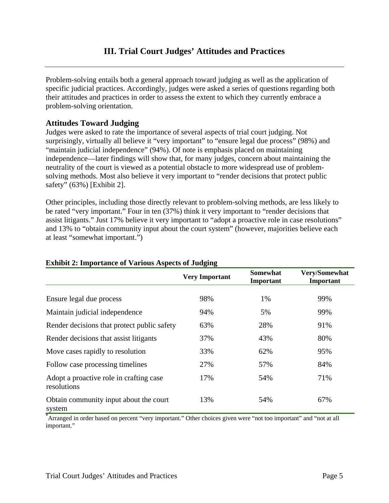Problem-solving entails both a general approach toward judging as well as the application of specific judicial practices. Accordingly, judges were asked a series of questions regarding both their attitudes and practices in order to assess the extent to which they currently embrace a problem-solving orientation.

# **Attitudes Toward Judging**

Judges were asked to rate the importance of several aspects of trial court judging. Not surprisingly, virtually all believe it "very important" to "ensure legal due process" (98%) and "maintain judicial independence" (94%). Of note is emphasis placed on maintaining independence—later findings will show that, for many judges, concern about maintaining the neutrality of the court is viewed as a potential obstacle to more widespread use of problemsolving methods. Most also believe it very important to "render decisions that protect public safety" (63%) [Exhibit 2].

Other principles, including those directly relevant to problem-solving methods, are less likely to be rated "very important." Four in ten (37%) think it very important to "render decisions that assist litigants." Just 17% believe it very important to "adopt a proactive role in case resolutions" and 13% to "obtain community input about the court system" (however, majorities believe each at least "somewhat important.")

|                                                        | <b>Very Important</b> | <b>Somewhat</b><br>Important | Very/Somewhat<br>Important |
|--------------------------------------------------------|-----------------------|------------------------------|----------------------------|
|                                                        |                       |                              |                            |
| Ensure legal due process                               | 98%                   | 1%                           | 99%                        |
| Maintain judicial independence                         | 94%                   | 5%                           | 99%                        |
| Render decisions that protect public safety            | 63%                   | 28%                          | 91%                        |
| Render decisions that assist litigants                 | 37%                   | 43%                          | 80%                        |
| Move cases rapidly to resolution                       | 33%                   | 62%                          | 95%                        |
| Follow case processing timelines                       | 27%                   | 57%                          | 84%                        |
| Adopt a proactive role in crafting case<br>resolutions | 17%                   | 54%                          | 71%                        |
| Obtain community input about the court<br>system       | 13%                   | 54%                          | 67%                        |

#### **Exhibit 2: Importance of Various Aspects of Judging**

**\*** Arranged in order based on percent "very important." Other choices given were "not too important" and "not at all important."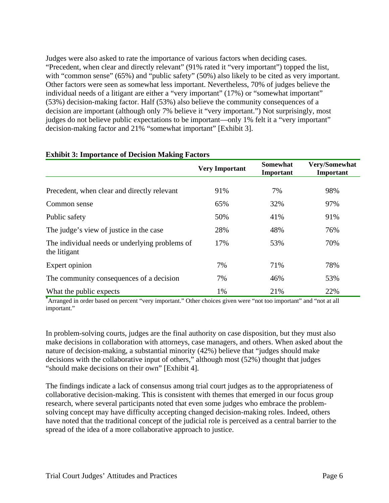Judges were also asked to rate the importance of various factors when deciding cases. "Precedent, when clear and directly relevant" (91% rated it "very important") topped the list, with "common sense" (65%) and "public safety" (50%) also likely to be cited as very important. Other factors were seen as somewhat less important. Nevertheless, 70% of judges believe the individual needs of a litigant are either a "very important" (17%) or "somewhat important" (53%) decision-making factor. Half (53%) also believe the community consequences of a decision are important (although only 7% believe it "very important.") Not surprisingly, most judges do not believe public expectations to be important—only 1% felt it a "very important" decision-making factor and 21% "somewhat important" [Exhibit 3].

|                                                                | <b>Very Important</b> | <b>Somewhat</b><br>Important | Very/Somewhat<br>Important |
|----------------------------------------------------------------|-----------------------|------------------------------|----------------------------|
|                                                                |                       |                              |                            |
| Precedent, when clear and directly relevant                    | 91%                   | 7%                           | 98%                        |
| Common sense                                                   | 65%                   | 32%                          | 97%                        |
| Public safety                                                  | 50%                   | 41%                          | 91%                        |
| The judge's view of justice in the case                        | 28%                   | 48%                          | 76%                        |
| The individual needs or underlying problems of<br>the litigant | 17%                   | 53%                          | 70%                        |
| Expert opinion                                                 | 7%                    | 71%                          | 78%                        |
| The community consequences of a decision                       | 7%                    | 46%                          | 53%                        |
| What the public expects                                        | 1%                    | 21%                          | 22%                        |

#### **Exhibit 3: Importance of Decision Making Factors**

**\*** Arranged in order based on percent "very important." Other choices given were "not too important" and "not at all important."

In problem-solving courts, judges are the final authority on case disposition, but they must also make decisions in collaboration with attorneys, case managers, and others. When asked about the nature of decision-making, a substantial minority (42%) believe that "judges should make decisions with the collaborative input of others," although most (52%) thought that judges "should make decisions on their own" [Exhibit 4].

The findings indicate a lack of consensus among trial court judges as to the appropriateness of collaborative decision-making. This is consistent with themes that emerged in our focus group research, where several participants noted that even some judges who embrace the problemsolving concept may have difficulty accepting changed decision-making roles. Indeed, others have noted that the traditional concept of the judicial role is perceived as a central barrier to the spread of the idea of a more collaborative approach to justice.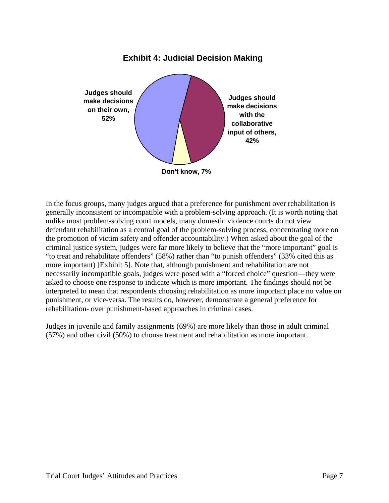

In the focus groups, many judges argued that a preference for punishment over rehabilitation is generally inconsistent or incompatible with a problem-solving approach. (It is worth noting that unlike most problem-solving court models, many domestic violence courts do not view defendant rehabilitation as a central goal of the problem-solving process, concentrating more on the promotion of victim safety and offender accountability.) When asked about the goal of the criminal justice system, judges were far more likely to believe that the "more important" goal is "to treat and rehabilitate offenders" (58%) rather than "to punish offenders" (33% cited this as more important) [Exhibit 5]. Note that, although punishment and rehabilitation are not necessarily incompatible goals, judges were posed with a "forced choice" question—they were asked to choose one response to indicate which is more important. The findings should not be interpreted to mean that respondents choosing rehabilitation as more important place no value on punishment, or vice-versa. The results do, however, demonstrate a general preference for rehabilitation- over punishment-based approaches in criminal cases.

Judges in juvenile and family assignments (69%) are more likely than those in adult criminal (57%) and other civil (50%) to choose treatment and rehabilitation as more important.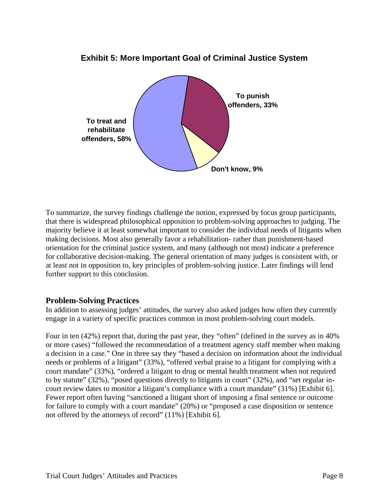

# **Exhibit 5: More Important Goal of Criminal Justice System**

To summarize, the survey findings challenge the notion, expressed by focus group participants, that there is widespread philosophical opposition to problem-solving approaches to judging. The majority believe it at least somewhat important to consider the individual needs of litigants when making decisions. Most also generally favor a rehabilitation- rather than punishment-based orientation for the criminal justice system, and many (although not most) indicate a preference for collaborative decision-making. The general orientation of many judges is consistent with, or at least not in opposition to, key principles of problem-solving justice. Later findings will lend further support to this conclusion.

# **Problem-Solving Practices**

In addition to assessing judges' attitudes, the survey also asked judges how often they currently engage in a variety of specific practices common in most problem-solving court models.

Four in ten (42%) report that, during the past year, they "often" (defined in the survey as in 40%) or more cases) "followed the recommendation of a treatment agency staff member when making a decision in a case." One in three say they "based a decision on information about the individual needs or problems of a litigant" (33%), "offered verbal praise to a litigant for complying with a court mandate" (33%), "ordered a litigant to drug or mental health treatment when not required to by statute" (32%), "posed questions directly to litigants in court" (32%), and "set regular incourt review dates to monitor a litigant's compliance with a court mandate" (31%) [Exhibit 6]. Fewer report often having "sanctioned a litigant short of imposing a final sentence or outcome for failure to comply with a court mandate" (20%) or "proposed a case disposition or sentence not offered by the attorneys of record" (11%) [Exhibit 6].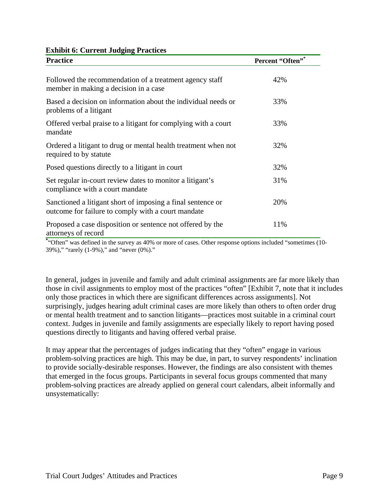|  | <b>Exhibit 6: Current Judging Practices</b> |  |  |  |
|--|---------------------------------------------|--|--|--|
|--|---------------------------------------------|--|--|--|

| <b>Practice</b>                                                                                                   | Percent "Often"* |
|-------------------------------------------------------------------------------------------------------------------|------------------|
| Followed the recommendation of a treatment agency staff<br>member in making a decision in a case                  | 42%              |
| Based a decision on information about the individual needs or<br>problems of a litigant                           | 33%              |
| Offered verbal praise to a litigant for complying with a court<br>mandate                                         | 33%              |
| Ordered a litigant to drug or mental health treatment when not<br>required to by statute                          | 32%              |
| Posed questions directly to a litigant in court                                                                   | 32%              |
| Set regular in-court review dates to monitor a litigant's<br>compliance with a court mandate                      | 31%              |
| Sanctioned a litigant short of imposing a final sentence or<br>outcome for failure to comply with a court mandate | 20%              |
| Proposed a case disposition or sentence not offered by the<br>attorneys of record                                 | 11%              |

**\*** "Often" was defined in the survey as 40% or more of cases. Other response options included "sometimes (10- 39%)," "rarely (1-9%)," and "never (0%)."

In general, judges in juvenile and family and adult criminal assignments are far more likely than those in civil assignments to employ most of the practices "often" [Exhibit 7, note that it includes only those practices in which there are significant differences across assignments]. Not surprisingly, judges hearing adult criminal cases are more likely than others to often order drug or mental health treatment and to sanction litigants—practices most suitable in a criminal court context. Judges in juvenile and family assignments are especially likely to report having posed questions directly to litigants and having offered verbal praise.

It may appear that the percentages of judges indicating that they "often" engage in various problem-solving practices are high. This may be due, in part, to survey respondents' inclination to provide socially-desirable responses. However, the findings are also consistent with themes that emerged in the focus groups. Participants in several focus groups commented that many problem-solving practices are already applied on general court calendars, albeit informally and unsystematically: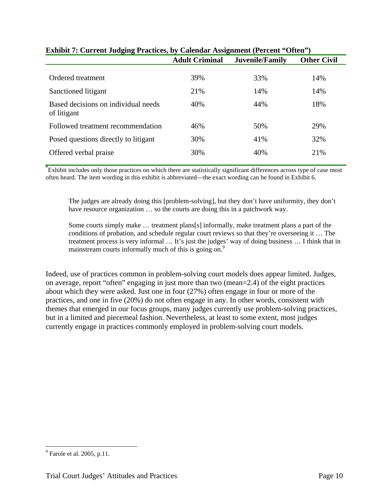| ------                                             | ~, ~.,                | $\sim$                 |                    |
|----------------------------------------------------|-----------------------|------------------------|--------------------|
|                                                    | <b>Adult Criminal</b> | <b>Juvenile/Family</b> | <b>Other Civil</b> |
|                                                    |                       |                        |                    |
| Ordered treatment                                  | 39%                   | 33%                    | 14%                |
| Sanctioned litigant                                | 21%                   | 14%                    | 14%                |
| Based decisions on individual needs<br>of litigant | 40%                   | 44%                    | 18%                |
| Followed treatment recommendation                  | 46%                   | 50%                    | 29%                |
| Posed questions directly to litigant               | 30%                   | 41%                    | 32%                |
| Offered verbal praise                              | 30%                   | 40%                    | 21%                |
|                                                    |                       |                        |                    |

# **Exhibit 7: Current Judging Practices, by Calendar Assignment (Percent "Often")**

**\*** Exhibit includes only those practices on which there are statistically significant differences across type of case most often heard. The item wording in this exhibit is abbreviated—the exact wording can be found in Exhibit 6.

The judges are already doing this [problem-solving], but they don't have uniformity, they don't have resource organization … so the courts are doing this in a patchwork way.

Some courts simply make … treatment plans[s] informally, make treatment plans a part of the conditions of probation, and schedule regular court reviews so that they're overseeing it … The treatment process is very informal … It's just the judges' way of doing business … I think that in mainstream courts informally much of this is going on.<sup>9</sup>

Indeed, use of practices common in problem-solving court models does appear limited. Judges, on average, report "often" engaging in just more than two (mean=2.4) of the eight practices about which they were asked. Just one in four (27%) often engage in four or more of the practices, and one in five (20%) do not often engage in any. In other words, consistent with themes that emerged in our focus groups, many judges currently use problem-solving practices, but in a limited and piecemeal fashion. Nevertheless, at least to some extent, most judges currently engage in practices commonly employed in problem-solving court models.

<u>.</u>

 $<sup>9</sup>$  Farole et al. 2005, p.11.</sup>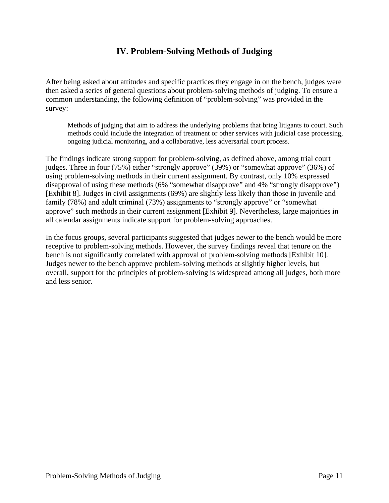After being asked about attitudes and specific practices they engage in on the bench, judges were then asked a series of general questions about problem-solving methods of judging. To ensure a common understanding, the following definition of "problem-solving" was provided in the survey:

Methods of judging that aim to address the underlying problems that bring litigants to court. Such methods could include the integration of treatment or other services with judicial case processing, ongoing judicial monitoring, and a collaborative, less adversarial court process.

The findings indicate strong support for problem-solving, as defined above, among trial court judges. Three in four (75%) either "strongly approve" (39%) or "somewhat approve" (36%) of using problem-solving methods in their current assignment. By contrast, only 10% expressed disapproval of using these methods (6% "somewhat disapprove" and 4% "strongly disapprove") [Exhibit 8]. Judges in civil assignments (69%) are slightly less likely than those in juvenile and family (78%) and adult criminal (73%) assignments to "strongly approve" or "somewhat approve" such methods in their current assignment [Exhibit 9]. Nevertheless, large majorities in all calendar assignments indicate support for problem-solving approaches.

In the focus groups, several participants suggested that judges newer to the bench would be more receptive to problem-solving methods. However, the survey findings reveal that tenure on the bench is not significantly correlated with approval of problem-solving methods [Exhibit 10]. Judges newer to the bench approve problem-solving methods at slightly higher levels, but overall, support for the principles of problem-solving is widespread among all judges, both more and less senior.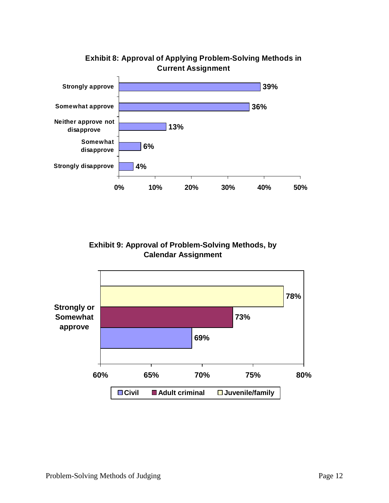

# **Exhibit 8: Approval of Applying Problem-Solving Methods in Current Assignment**

**Exhibit 9: Approval of Problem-Solving Methods, by Calendar Assignment**

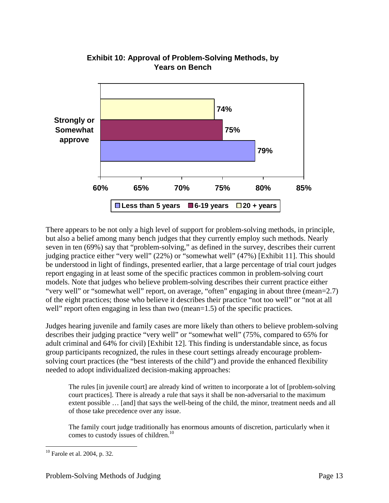

# **Exhibit 10: Approval of Problem-Solving Methods, by Years on Bench**

There appears to be not only a high level of support for problem-solving methods, in principle, but also a belief among many bench judges that they currently employ such methods. Nearly seven in ten (69%) say that "problem-solving," as defined in the survey, describes their current judging practice either "very well" (22%) or "somewhat well" (47%) [Exhibit 11]. This should be understood in light of findings, presented earlier, that a large percentage of trial court judges report engaging in at least some of the specific practices common in problem-solving court models. Note that judges who believe problem-solving describes their current practice either "very well" or "somewhat well" report, on average, "often" engaging in about three (mean=2.7) of the eight practices; those who believe it describes their practice "not too well" or "not at all well" report often engaging in less than two (mean=1.5) of the specific practices.

Judges hearing juvenile and family cases are more likely than others to believe problem-solving describes their judging practice "very well" or "somewhat well" (75%, compared to 65% for adult criminal and 64% for civil) [Exhibit 12]. This finding is understandable since, as focus group participants recognized, the rules in these court settings already encourage problemsolving court practices (the "best interests of the child") and provide the enhanced flexibility needed to adopt individualized decision-making approaches:

The rules [in juvenile court] are already kind of written to incorporate a lot of [problem-solving court practices]. There is already a rule that says it shall be non-adversarial to the maximum extent possible … [and] that says the well-being of the child, the minor, treatment needs and all of those take precedence over any issue.

The family court judge traditionally has enormous amounts of discretion, particularly when it comes to custody issues of children.<sup>10</sup>

<sup>10</sup> Farole et al. 2004, p. 32.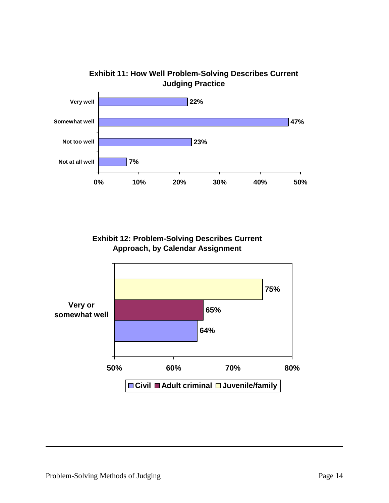

**Exhibit 12: Problem-Solving Describes Current Approach, by Calendar Assignment**

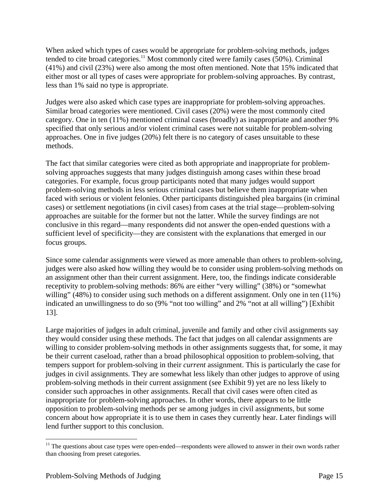When asked which types of cases would be appropriate for problem-solving methods, judges tended to cite broad categories.<sup>11</sup> Most commonly cited were family cases (50%). Criminal (41%) and civil (23%) were also among the most often mentioned. Note that 15% indicated that either most or all types of cases were appropriate for problem-solving approaches. By contrast, less than 1% said no type is appropriate.

Judges were also asked which case types are inappropriate for problem-solving approaches. Similar broad categories were mentioned. Civil cases (20%) were the most commonly cited category. One in ten (11%) mentioned criminal cases (broadly) as inappropriate and another 9% specified that only serious and/or violent criminal cases were not suitable for problem-solving approaches. One in five judges (20%) felt there is no category of cases unsuitable to these methods.

The fact that similar categories were cited as both appropriate and inappropriate for problemsolving approaches suggests that many judges distinguish among cases within these broad categories. For example, focus group participants noted that many judges would support problem-solving methods in less serious criminal cases but believe them inappropriate when faced with serious or violent felonies. Other participants distinguished plea bargains (in criminal cases) or settlement negotiations (in civil cases) from cases at the trial stage—problem-solving approaches are suitable for the former but not the latter. While the survey findings are not conclusive in this regard—many respondents did not answer the open-ended questions with a sufficient level of specificity—they are consistent with the explanations that emerged in our focus groups.

Since some calendar assignments were viewed as more amenable than others to problem-solving, judges were also asked how willing they would be to consider using problem-solving methods on an assignment other than their current assignment. Here, too, the findings indicate considerable receptivity to problem-solving methods: 86% are either "very willing" (38%) or "somewhat willing" (48%) to consider using such methods on a different assignment. Only one in ten (11%) indicated an unwillingness to do so (9% "not too willing" and 2% "not at all willing") [Exhibit 13].

Large majorities of judges in adult criminal, juvenile and family and other civil assignments say they would consider using these methods. The fact that judges on all calendar assignments are willing to consider problem-solving methods in other assignments suggests that, for some, it may be their current caseload, rather than a broad philosophical opposition to problem-solving, that tempers support for problem-solving in their *current* assignment. This is particularly the case for judges in civil assignments. They are somewhat less likely than other judges to approve of using problem-solving methods in their current assignment (see Exhibit 9) yet are no less likely to consider such approaches in other assignments. Recall that civil cases were often cited as inappropriate for problem-solving approaches. In other words, there appears to be little opposition to problem-solving methods per se among judges in civil assignments, but some concern about how appropriate it is to use them in cases they currently hear. Later findings will lend further support to this conclusion.

<sup>&</sup>lt;sup>11</sup> The questions about case types were open-ended—respondents were allowed to answer in their own words rather than choosing from preset categories.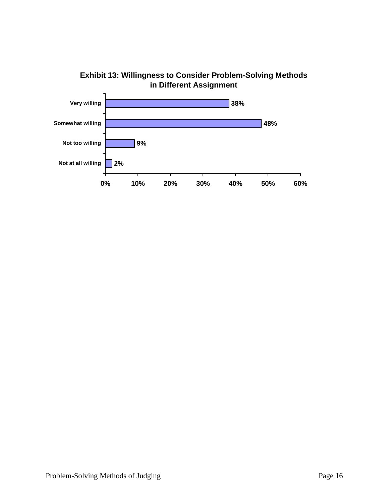

**Exhibit 13: Willingness to Consider Problem-Solving Methods in Different Assignment**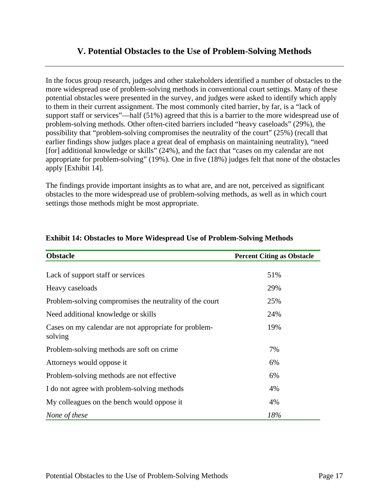# **V. Potential Obstacles to the Use of Problem-Solving Methods**

In the focus group research, judges and other stakeholders identified a number of obstacles to the more widespread use of problem-solving methods in conventional court settings. Many of these potential obstacles were presented in the survey, and judges were asked to identify which apply to them in their current assignment. The most commonly cited barrier, by far, is a "lack of support staff or services"—half (51%) agreed that this is a barrier to the more widespread use of problem-solving methods. Other often-cited barriers included "heavy caseloads" (29%), the possibility that "problem-solving compromises the neutrality of the court" (25%) (recall that earlier findings show judges place a great deal of emphasis on maintaining neutrality), "need [for] additional knowledge or skills" (24%), and the fact that "cases on my calendar are not appropriate for problem-solving" (19%). One in five (18%) judges felt that none of the obstacles apply [Exhibit 14].

The findings provide important insights as to what are, and are not, perceived as significant obstacles to the more widespread use of problem-solving methods, as well as in which court settings those methods might be most appropriate.

| <b>Obstacle</b>                                                  | <b>Percent Citing as Obstacle</b> |
|------------------------------------------------------------------|-----------------------------------|
| Lack of support staff or services                                | 51%                               |
| Heavy caseloads                                                  | 29%                               |
| Problem-solving compromises the neutrality of the court          | 25%                               |
| Need additional knowledge or skills                              | 24%                               |
| Cases on my calendar are not appropriate for problem-<br>solving | 19%                               |
| Problem-solving methods are soft on crime                        | 7%                                |
| Attorneys would oppose it                                        | 6%                                |
| Problem-solving methods are not effective                        | 6%                                |
| I do not agree with problem-solving methods                      | 4%                                |
| My colleagues on the bench would oppose it                       | 4%                                |
| None of these                                                    | 18%                               |

#### **Exhibit 14: Obstacles to More Widespread Use of Problem-Solving Methods**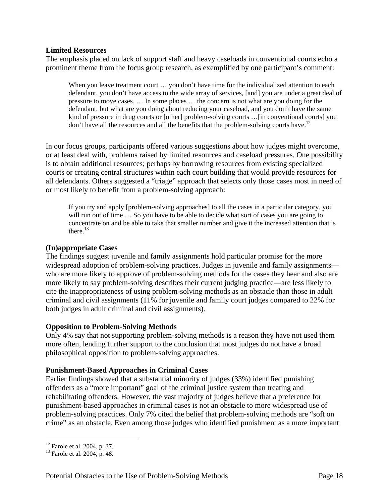#### **Limited Resources**

The emphasis placed on lack of support staff and heavy caseloads in conventional courts echo a prominent theme from the focus group research, as exemplified by one participant's comment:

When you leave treatment court ... you don't have time for the individualized attention to each defendant, you don't have access to the wide array of services, [and] you are under a great deal of pressure to move cases. … In some places … the concern is not what are you doing for the defendant, but what are you doing about reducing your caseload, and you don't have the same kind of pressure in drug courts or [other] problem-solving courts …[in conventional courts] you don't have all the resources and all the benefits that the problem-solving courts have.<sup>12</sup>

In our focus groups, participants offered various suggestions about how judges might overcome, or at least deal with, problems raised by limited resources and caseload pressures. One possibility is to obtain additional resources; perhaps by borrowing resources from existing specialized courts or creating central structures within each court building that would provide resources for all defendants. Others suggested a "triage" approach that selects only those cases most in need of or most likely to benefit from a problem-solving approach:

If you try and apply [problem-solving approaches] to all the cases in a particular category, you will run out of time ... So you have to be able to decide what sort of cases you are going to concentrate on and be able to take that smaller number and give it the increased attention that is there. $^{13}$ 

#### **(In)appropriate Cases**

The findings suggest juvenile and family assignments hold particular promise for the more widespread adoption of problem-solving practices. Judges in juvenile and family assignments who are more likely to approve of problem-solving methods for the cases they hear and also are more likely to say problem-solving describes their current judging practice—are less likely to cite the inappropriateness of using problem-solving methods as an obstacle than those in adult criminal and civil assignments (11% for juvenile and family court judges compared to 22% for both judges in adult criminal and civil assignments).

#### **Opposition to Problem-Solving Methods**

Only 4% say that not supporting problem-solving methods is a reason they have not used them more often, lending further support to the conclusion that most judges do not have a broad philosophical opposition to problem-solving approaches.

#### **Punishment-Based Approaches in Criminal Cases**

Earlier findings showed that a substantial minority of judges (33%) identified punishing offenders as a "more important" goal of the criminal justice system than treating and rehabilitating offenders. However, the vast majority of judges believe that a preference for punishment-based approaches in criminal cases is not an obstacle to more widespread use of problem-solving practices. Only 7% cited the belief that problem-solving methods are "soft on crime" as an obstacle. Even among those judges who identified punishment as a more important

<sup>&</sup>lt;sup>12</sup> Farole et al. 2004, p. 37.

<sup>13</sup> Farole et al. 2004, p. 48.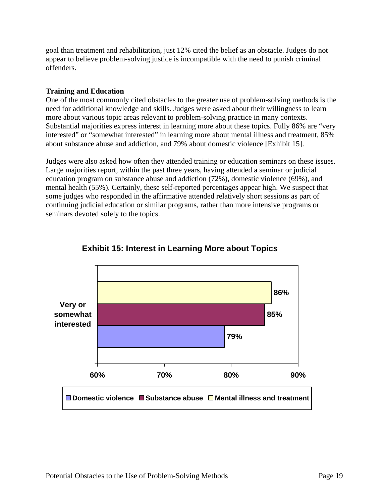goal than treatment and rehabilitation, just 12% cited the belief as an obstacle. Judges do not appear to believe problem-solving justice is incompatible with the need to punish criminal offenders.

#### **Training and Education**

One of the most commonly cited obstacles to the greater use of problem-solving methods is the need for additional knowledge and skills. Judges were asked about their willingness to learn more about various topic areas relevant to problem-solving practice in many contexts. Substantial majorities express interest in learning more about these topics. Fully 86% are "very interested" or "somewhat interested" in learning more about mental illness and treatment, 85% about substance abuse and addiction, and 79% about domestic violence [Exhibit 15].

Judges were also asked how often they attended training or education seminars on these issues. Large majorities report, within the past three years, having attended a seminar or judicial education program on substance abuse and addiction (72%), domestic violence (69%), and mental health (55%). Certainly, these self-reported percentages appear high. We suspect that some judges who responded in the affirmative attended relatively short sessions as part of continuing judicial education or similar programs, rather than more intensive programs or seminars devoted solely to the topics.



# **Exhibit 15: Interest in Learning More about Topics**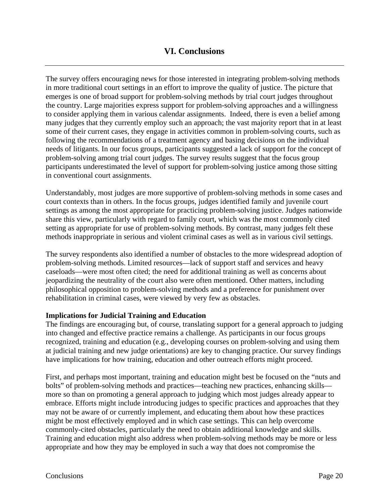# **VI. Conclusions**

The survey offers encouraging news for those interested in integrating problem-solving methods in more traditional court settings in an effort to improve the quality of justice. The picture that emerges is one of broad support for problem-solving methods by trial court judges throughout the country. Large majorities express support for problem-solving approaches and a willingness to consider applying them in various calendar assignments. Indeed, there is even a belief among many judges that they currently employ such an approach; the vast majority report that in at least some of their current cases, they engage in activities common in problem-solving courts, such as following the recommendations of a treatment agency and basing decisions on the individual needs of litigants. In our focus groups, participants suggested a lack of support for the concept of problem-solving among trial court judges. The survey results suggest that the focus group participants underestimated the level of support for problem-solving justice among those sitting in conventional court assignments.

Understandably, most judges are more supportive of problem-solving methods in some cases and court contexts than in others. In the focus groups, judges identified family and juvenile court settings as among the most appropriate for practicing problem-solving justice. Judges nationwide share this view, particularly with regard to family court, which was the most commonly cited setting as appropriate for use of problem-solving methods. By contrast, many judges felt these methods inappropriate in serious and violent criminal cases as well as in various civil settings.

The survey respondents also identified a number of obstacles to the more widespread adoption of problem-solving methods. Limited resources—lack of support staff and services and heavy caseloads—were most often cited; the need for additional training as well as concerns about jeopardizing the neutrality of the court also were often mentioned. Other matters, including philosophical opposition to problem-solving methods and a preference for punishment over rehabilitation in criminal cases, were viewed by very few as obstacles.

#### **Implications for Judicial Training and Education**

The findings are encouraging but, of course, translating support for a general approach to judging into changed and effective practice remains a challenge. As participants in our focus groups recognized, training and education (e.g., developing courses on problem-solving and using them at judicial training and new judge orientations) are key to changing practice. Our survey findings have implications for how training, education and other outreach efforts might proceed.

First, and perhaps most important, training and education might best be focused on the "nuts and bolts" of problem-solving methods and practices—teaching new practices, enhancing skills more so than on promoting a general approach to judging which most judges already appear to embrace. Efforts might include introducing judges to specific practices and approaches that they may not be aware of or currently implement, and educating them about how these practices might be most effectively employed and in which case settings. This can help overcome commonly-cited obstacles, particularly the need to obtain additional knowledge and skills. Training and education might also address when problem-solving methods may be more or less appropriate and how they may be employed in such a way that does not compromise the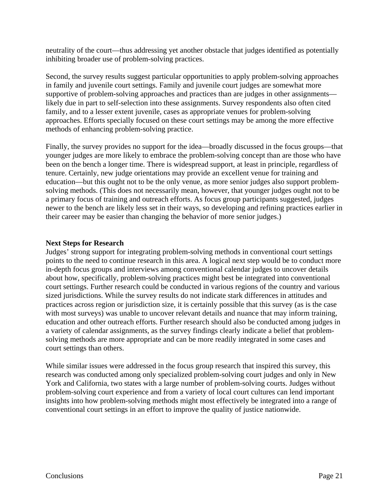neutrality of the court—thus addressing yet another obstacle that judges identified as potentially inhibiting broader use of problem-solving practices.

Second, the survey results suggest particular opportunities to apply problem-solving approaches in family and juvenile court settings. Family and juvenile court judges are somewhat more supportive of problem-solving approaches and practices than are judges in other assignments likely due in part to self-selection into these assignments. Survey respondents also often cited family, and to a lesser extent juvenile, cases as appropriate venues for problem-solving approaches. Efforts specially focused on these court settings may be among the more effective methods of enhancing problem-solving practice.

Finally, the survey provides no support for the idea—broadly discussed in the focus groups—that younger judges are more likely to embrace the problem-solving concept than are those who have been on the bench a longer time. There is widespread support, at least in principle, regardless of tenure. Certainly, new judge orientations may provide an excellent venue for training and education—but this ought not to be the only venue, as more senior judges also support problemsolving methods. (This does not necessarily mean, however, that younger judges ought not to be a primary focus of training and outreach efforts. As focus group participants suggested, judges newer to the bench are likely less set in their ways, so developing and refining practices earlier in their career may be easier than changing the behavior of more senior judges.)

#### **Next Steps for Research**

Judges' strong support for integrating problem-solving methods in conventional court settings points to the need to continue research in this area. A logical next step would be to conduct more in-depth focus groups and interviews among conventional calendar judges to uncover details about how, specifically, problem-solving practices might best be integrated into conventional court settings. Further research could be conducted in various regions of the country and various sized jurisdictions. While the survey results do not indicate stark differences in attitudes and practices across region or jurisdiction size, it is certainly possible that this survey (as is the case with most surveys) was unable to uncover relevant details and nuance that may inform training, education and other outreach efforts. Further research should also be conducted among judges in a variety of calendar assignments, as the survey findings clearly indicate a belief that problemsolving methods are more appropriate and can be more readily integrated in some cases and court settings than others.

While similar issues were addressed in the focus group research that inspired this survey, this research was conducted among only specialized problem-solving court judges and only in New York and California, two states with a large number of problem-solving courts. Judges without problem-solving court experience and from a variety of local court cultures can lend important insights into how problem-solving methods might most effectively be integrated into a range of conventional court settings in an effort to improve the quality of justice nationwide.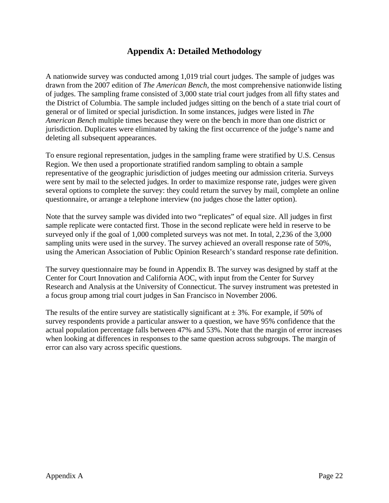# **Appendix A: Detailed Methodology**

A nationwide survey was conducted among 1,019 trial court judges. The sample of judges was drawn from the 2007 edition of *The American Bench*, the most comprehensive nationwide listing of judges. The sampling frame consisted of 3,000 state trial court judges from all fifty states and the District of Columbia. The sample included judges sitting on the bench of a state trial court of general or of limited or special jurisdiction. In some instances, judges were listed in *The American Bench* multiple times because they were on the bench in more than one district or jurisdiction. Duplicates were eliminated by taking the first occurrence of the judge's name and deleting all subsequent appearances.

To ensure regional representation, judges in the sampling frame were stratified by U.S. Census Region. We then used a proportionate stratified random sampling to obtain a sample representative of the geographic jurisdiction of judges meeting our admission criteria. Surveys were sent by mail to the selected judges. In order to maximize response rate, judges were given several options to complete the survey: they could return the survey by mail, complete an online questionnaire, or arrange a telephone interview (no judges chose the latter option).

Note that the survey sample was divided into two "replicates" of equal size. All judges in first sample replicate were contacted first. Those in the second replicate were held in reserve to be surveyed only if the goal of 1,000 completed surveys was not met. In total, 2,236 of the 3,000 sampling units were used in the survey. The survey achieved an overall response rate of 50%, using the American Association of Public Opinion Research's standard response rate definition.

The survey questionnaire may be found in Appendix B. The survey was designed by staff at the Center for Court Innovation and California AOC, with input from the Center for Survey Research and Analysis at the University of Connecticut. The survey instrument was pretested in a focus group among trial court judges in San Francisco in November 2006.

The results of the entire survey are statistically significant at  $\pm$  3%. For example, if 50% of survey respondents provide a particular answer to a question, we have 95% confidence that the actual population percentage falls between 47% and 53%. Note that the margin of error increases when looking at differences in responses to the same question across subgroups. The margin of error can also vary across specific questions.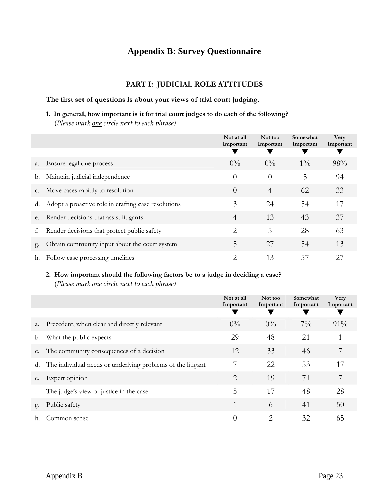# **Appendix B: Survey Questionnaire**

# **PART I: JUDICIAL ROLE ATTITUDES**

#### **The first set of questions is about your views of trial court judging.**

**1. In general, how important is it for trial court judges to do each of the following?**  (*Please mark one circle next to each phrase)*

|    |                                                        | Not at all<br>Important | Not too<br>Important | Somewhat<br>Important | <b>Very</b><br>Important |
|----|--------------------------------------------------------|-------------------------|----------------------|-----------------------|--------------------------|
|    |                                                        |                         |                      |                       |                          |
| a. | Ensure legal due process                               | $0\%$                   | $0\%$                | $1\%$                 | 98%                      |
| b. | Maintain judicial independence                         | $\theta$                | $\theta$             | 5                     | 94                       |
|    | c. Move cases rapidly to resolution                    | $\theta$                | $\overline{4}$       | 62                    | 33                       |
|    | d. Adopt a proactive role in crafting case resolutions | 3                       | 24                   | 54                    | 17                       |
| e. | Render decisions that assist litigants                 | $\overline{4}$          | 13                   | 43                    | 37                       |
| f. | Render decisions that protect public safety            | 2                       | 5                    | 28                    | 63                       |
| g. | Obtain community input about the court system          | 5                       | 27                   | 54                    | 13                       |
| h. | Follow case processing timelines                       | 2                       | 13                   | 57                    | 27                       |

#### **2. How important should the following factors be to a judge in deciding a case?**  (*Please mark one circle next to each phrase)*

|                |                                                             | Not at all<br>Important | Not too<br>Important | Somewhat<br>Important | Very<br>Important |
|----------------|-------------------------------------------------------------|-------------------------|----------------------|-----------------------|-------------------|
|                |                                                             |                         |                      |                       |                   |
| a.             | Precedent, when clear and directly relevant                 | $0\%$                   | $0\%$                | $7\%$                 | $91\%$            |
| b.             | What the public expects                                     | 29                      | 48                   | 21                    |                   |
| C <sub>1</sub> | The community consequences of a decision                    | 12                      | 33                   | 46                    | 7                 |
| d.             | The individual needs or underlying problems of the litigant | 7                       | 22                   | 53                    | 17                |
| e.             | Expert opinion                                              | 2                       | 19                   | 71                    | 7                 |
| f.             | The judge's view of justice in the case                     | 5                       | 17                   | 48                    | 28                |
| g.             | Public safety                                               | 1                       | 6                    | 41                    | 50                |
|                | Common sense                                                | $\theta$                | 2                    | 32                    | 65                |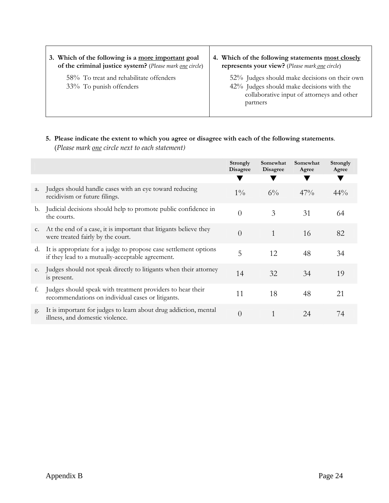| 3. Which of the following is a more important goal                 | 4. Which of the following statements most closely                                                                                                    |
|--------------------------------------------------------------------|------------------------------------------------------------------------------------------------------------------------------------------------------|
| of the criminal justice system? (Please mark one circle)           | represents your view? (Please mark one circle)                                                                                                       |
| 58% To treat and rehabilitate offenders<br>33% To punish offenders | 52% Judges should make decisions on their own<br>42% Judges should make decisions with the<br>collaborative input of attorneys and other<br>partners |

# **5. Please indicate the extent to which you agree or disagree with each of the following statements**. (*Please mark one circle next to each statement)*

|                |                                                                                                                      | Strongly<br><b>Disagree</b> | Somewhat<br><b>Disagree</b> | Somewhat<br>Agree | Strongly<br>Agree |
|----------------|----------------------------------------------------------------------------------------------------------------------|-----------------------------|-----------------------------|-------------------|-------------------|
|                |                                                                                                                      |                             |                             |                   |                   |
| a.             | Judges should handle cases with an eye toward reducing<br>recidivism or future filings.                              | $1\%$                       | $6\%$                       | 47%               | $44\%$            |
| b.             | Judicial decisions should help to promote public confidence in<br>the courts.                                        | $\theta$                    | 3                           | 31                | 64                |
| C <sub>1</sub> | At the end of a case, it is important that litigants believe they<br>were treated fairly by the court.               | $\theta$                    | 1                           | 16                | 82                |
| d.             | It is appropriate for a judge to propose case settlement options<br>if they lead to a mutually-acceptable agreement. | 5                           | 12                          | 48                | 34                |
| e.             | Judges should not speak directly to litigants when their attorney<br>is present.                                     | 14                          | 32                          | 34                | 19                |
| f.             | Judges should speak with treatment providers to hear their<br>recommendations on individual cases or litigants.      | 11                          | 18                          | 48                | 21                |
| g.             | It is important for judges to learn about drug addiction, mental<br>illness, and domestic violence.                  | $\overline{0}$              |                             | 24                | 74                |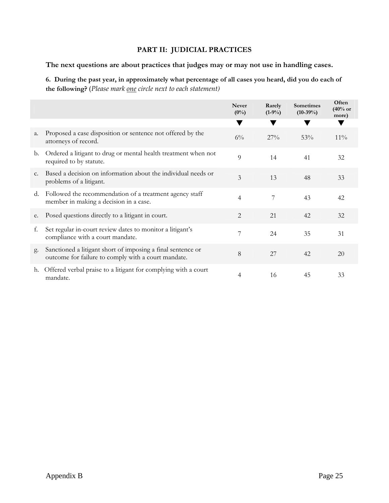# **PART II: JUDICIAL PRACTICES**

**The next questions are about practices that judges may or may not use in handling cases.** 

**6. During the past year, in approximately what percentage of all cases you heard, did you do each of the following?** (*Please mark one circle next to each statement)*

|    |                                                                                                                    | <b>Never</b><br>$(0\%)$ | Rarely<br>$(1-9\%)$ | <b>Sometimes</b><br>$(10-39\%)$ | Often<br>$(40%$ or<br>more) |
|----|--------------------------------------------------------------------------------------------------------------------|-------------------------|---------------------|---------------------------------|-----------------------------|
|    |                                                                                                                    |                         |                     |                                 |                             |
| a. | Proposed a case disposition or sentence not offered by the<br>attorneys of record.                                 | $6\%$                   | 27%                 | 53%                             | $11\%$                      |
| b. | Ordered a litigant to drug or mental health treatment when not<br>required to by statute.                          | 9                       | 14                  | 41                              | 32                          |
| c. | Based a decision on information about the individual needs or<br>problems of a litigant.                           | 3                       | 13                  | 48                              | 33                          |
| d. | Followed the recommendation of a treatment agency staff<br>member in making a decision in a case.                  | $\overline{4}$          | 7                   | 43                              | 42                          |
| e. | Posed questions directly to a litigant in court.                                                                   | 2                       | 21                  | 42                              | 32                          |
| f. | Set regular in-court review dates to monitor a litigant's<br>compliance with a court mandate.                      | 7                       | 24                  | 35                              | 31                          |
| g. | Sanctioned a litigant short of imposing a final sentence or<br>outcome for failure to comply with a court mandate. | 8                       | 27                  | 42                              | 20                          |
| h. | Offered verbal praise to a litigant for complying with a court<br>mandate.                                         | 4                       | 16                  | 45                              | 33                          |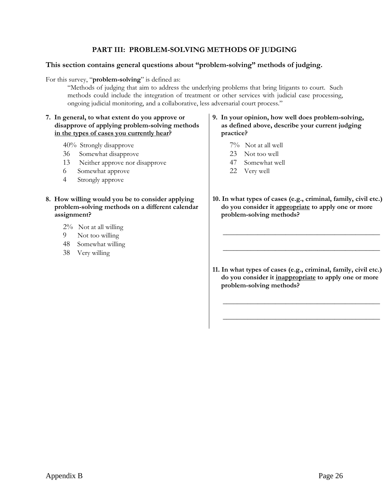#### **PART III: PROBLEM-SOLVING METHODS OF JUDGING**

#### **This section contains general questions about "problem-solving" methods of judging.**

For this survey, "**problem-solving**" is defined as:

"Methods of judging that aim to address the underlying problems that bring litigants to court. Such methods could include the integration of treatment or other services with judicial case processing, ongoing judicial monitoring, and a collaborative, less adversarial court process."

#### **7. In general, to what extent do you approve or disapprove of applying problem-solving methods in the types of cases you currently hear?**

40% Strongly disapprove

- 36 Somewhat disapprove
- 13 Neither approve nor disapprove
- 6 Somewhat approve
- 4 Strongly approve
- **8. How willing would you be to consider applying problem-solving methods on a different calendar assignment?** 
	- 2% Not at all willing
	- 9 Not too willing
	- 48 Somewhat willing
	- 38 Very willing

#### **9. In your opinion, how well does problem-solving, as defined above, describe your current judging practice?**

- 7% Not at all well
- 23 Not too well
- 47 Somewhat well
- 22 Very well
- **10. In what types of cases (e.g., criminal, family, civil etc.) do you consider it appropriate to apply one or more problem-solving methods?**

 $\frac{1}{\sqrt{2}}$  ,  $\frac{1}{\sqrt{2}}$  ,  $\frac{1}{\sqrt{2}}$  ,  $\frac{1}{\sqrt{2}}$  ,  $\frac{1}{\sqrt{2}}$  ,  $\frac{1}{\sqrt{2}}$  ,  $\frac{1}{\sqrt{2}}$  ,  $\frac{1}{\sqrt{2}}$  ,  $\frac{1}{\sqrt{2}}$  ,  $\frac{1}{\sqrt{2}}$  ,  $\frac{1}{\sqrt{2}}$  ,  $\frac{1}{\sqrt{2}}$  ,  $\frac{1}{\sqrt{2}}$  ,  $\frac{1}{\sqrt{2}}$  ,  $\frac{1}{\sqrt{2}}$ 

 $\frac{1}{2}$  ,  $\frac{1}{2}$  ,  $\frac{1}{2}$  ,  $\frac{1}{2}$  ,  $\frac{1}{2}$  ,  $\frac{1}{2}$  ,  $\frac{1}{2}$  ,  $\frac{1}{2}$  ,  $\frac{1}{2}$  ,  $\frac{1}{2}$  ,  $\frac{1}{2}$  ,  $\frac{1}{2}$  ,  $\frac{1}{2}$  ,  $\frac{1}{2}$  ,  $\frac{1}{2}$  ,  $\frac{1}{2}$  ,  $\frac{1}{2}$  ,  $\frac{1}{2}$  ,  $\frac{1$ 

**11. In what types of cases (e.g., criminal, family, civil etc.) do you consider it inappropriate to apply one or more problem-solving methods?** 

 $\frac{1}{\sqrt{2}}$  ,  $\frac{1}{\sqrt{2}}$  ,  $\frac{1}{\sqrt{2}}$  ,  $\frac{1}{\sqrt{2}}$  ,  $\frac{1}{\sqrt{2}}$  ,  $\frac{1}{\sqrt{2}}$  ,  $\frac{1}{\sqrt{2}}$  ,  $\frac{1}{\sqrt{2}}$  ,  $\frac{1}{\sqrt{2}}$  ,  $\frac{1}{\sqrt{2}}$  ,  $\frac{1}{\sqrt{2}}$  ,  $\frac{1}{\sqrt{2}}$  ,  $\frac{1}{\sqrt{2}}$  ,  $\frac{1}{\sqrt{2}}$  ,  $\frac{1}{\sqrt{2}}$ 

 $\frac{1}{\sqrt{2}}$  ,  $\frac{1}{\sqrt{2}}$  ,  $\frac{1}{\sqrt{2}}$  ,  $\frac{1}{\sqrt{2}}$  ,  $\frac{1}{\sqrt{2}}$  ,  $\frac{1}{\sqrt{2}}$  ,  $\frac{1}{\sqrt{2}}$  ,  $\frac{1}{\sqrt{2}}$  ,  $\frac{1}{\sqrt{2}}$  ,  $\frac{1}{\sqrt{2}}$  ,  $\frac{1}{\sqrt{2}}$  ,  $\frac{1}{\sqrt{2}}$  ,  $\frac{1}{\sqrt{2}}$  ,  $\frac{1}{\sqrt{2}}$  ,  $\frac{1}{\sqrt{2}}$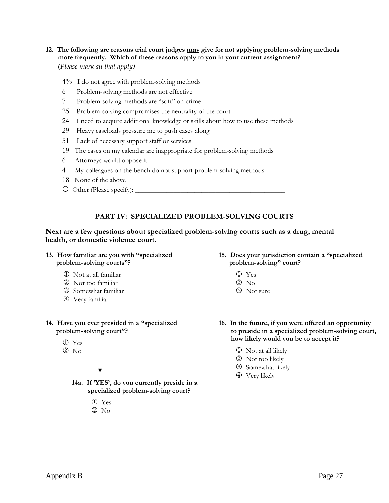#### **12. The following are reasons trial court judges may give for not applying problem-solving methods more frequently. Which of these reasons apply to you in your current assignment?** (*Please mark all that apply)*

 $4\%$  I do not agree with problem-solving methods

- 6 Problem-solving methods are not effective
- 7 Problem-solving methods are "soft" on crime
- 25 Problem-solving compromises the neutrality of the court
- 24 I need to acquire additional knowledge or skills about how to use these methods
- 29 Heavy caseloads pressure me to push cases along
- 51 Lack of necessary support staff or services
- 19 The cases on my calendar are inappropriate for problem-solving methods
- 6 Attorneys would oppose it
- 4 My colleagues on the bench do not support problem-solving methods
- 18 None of the above
- { Other (Please specify): \_\_\_\_\_\_\_\_\_\_\_\_\_\_\_\_\_\_\_\_\_\_\_\_\_\_\_\_\_\_\_\_\_\_\_\_\_\_\_\_\_\_\_

#### **PART IV: SPECIALIZED PROBLEM-SOLVING COURTS**

#### **Next are a few questions about specialized problem-solving courts such as a drug, mental health, or domestic violence court.**

- **13. How familiar are you with "specialized problem-solving courts"?** 
	- 1 Not at all familiar
	- 2 Not too familiar
	- 3 Somewhat familiar
	- 4 Very familiar

#### **14. Have you ever presided in a "specialized problem-solving court"?**



- **14a. If 'YES', do you currently preside in a specialized problem-solving court?** 
	- 1 Yes
	- $(2)$  No
- **15. Does your jurisdiction contain a "specialized problem-solving" court?** 
	- 1 Yes
	- $2$  No
	- $\circledcirc$  Not sure
- **16. In the future, if you were offered an opportunity to preside in a specialized problem-solving court, how likely would you be to accept it?** 
	- 1 Not at all likely
	- 2 Not too likely
	- 3 Somewhat likely
	- 4 Very likely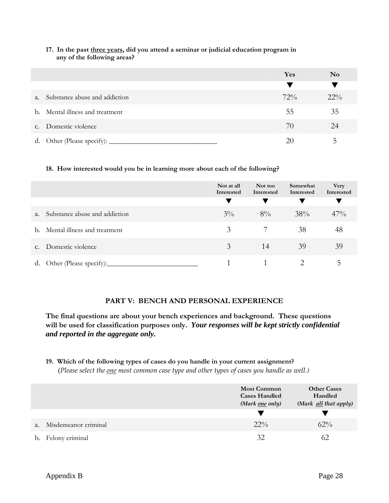|              |                                 | Yes    | $\bf No$ |
|--------------|---------------------------------|--------|----------|
|              |                                 |        |          |
| a.           | Substance abuse and addiction   | $72\%$ | $22\%$   |
|              | b. Mental illness and treatment | 55     | 35       |
| $C_{\alpha}$ | Domestic violence               | 70     | 24       |
| d.           | Other (Please specify): _______ | 20     |          |

#### **17. In the past three years, did you attend a seminar or judicial education program in any of the following areas?**

#### **18. How interested would you be in learning more about each of the following?**

|             |                               | Not at all<br>Interested | Not too<br>Interested | Somewhat<br>Interested | Very<br>Interested |
|-------------|-------------------------------|--------------------------|-----------------------|------------------------|--------------------|
| $a_{\cdot}$ | Substance abuse and addiction | $3\%$                    | $8\%$                 | 38%                    | $47\%$             |
| b.          | Mental illness and treatment  | 3                        |                       | 38                     | 48                 |
| $C_{\star}$ | Domestic violence             | 3                        | 14                    | 39                     | 39                 |
| d.          | Other (Please specify):       |                          |                       |                        |                    |

#### **PART V: BENCH AND PERSONAL EXPERIENCE**

**The final questions are about your bench experiences and background. These questions will be used for classification purposes only.** *Your responses will be kept strictly confidential and reported in the aggregate only.*

#### **19. Which of the following types of cases do you handle in your current assignment?**

(*Please select the one most common case type and other types of cases you handle as well.)*

|                            | <b>Most Common</b><br><b>Cases Handled</b><br>(Mark <u>one</u> only) | <b>Other Cases</b><br>Handled<br>(Mark all that apply) |
|----------------------------|----------------------------------------------------------------------|--------------------------------------------------------|
|                            |                                                                      |                                                        |
| Misdemeanor criminal<br>a. | $22\%$                                                               | $62\%$                                                 |
| b. Felony criminal         | 32                                                                   |                                                        |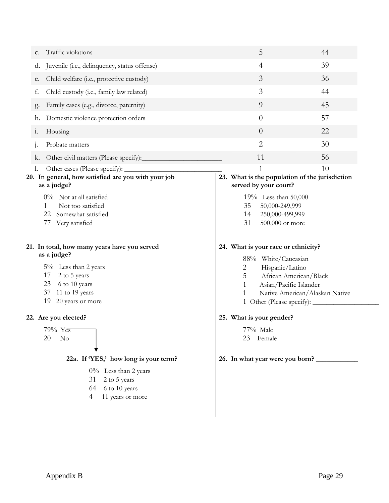| Traffic violations<br>c.                                                                                               | 5                                                                                                                         | 44 |
|------------------------------------------------------------------------------------------------------------------------|---------------------------------------------------------------------------------------------------------------------------|----|
| Juvenile (i.e., delinquency, status offense)<br>d.                                                                     | 4                                                                                                                         | 39 |
| Child welfare (i.e., protective custody)<br>е.                                                                         | 3                                                                                                                         | 36 |
| f.<br>Child custody (i.e., family law related)                                                                         | 3                                                                                                                         | 44 |
| Family cases (e.g., divorce, paternity)<br>g.                                                                          | 9                                                                                                                         | 45 |
| Domestic violence protection orders<br>h.                                                                              | $\overline{0}$                                                                                                            | 57 |
| Housing<br>$\ddot{1}$ .                                                                                                | $\overline{0}$                                                                                                            | 22 |
| Probate matters<br>1.                                                                                                  | $\overline{2}$                                                                                                            | 30 |
| Other civil matters (Please specify):<br>k.                                                                            | 11                                                                                                                        | 56 |
| Other cases (Please specify): _<br>I.                                                                                  | 1                                                                                                                         | 10 |
| 20. In general, how satisfied are you with your job<br>as a judge?                                                     | 23. What is the population of the jurisdiction<br>served by your court?                                                   |    |
| $0\%$ Not at all satisfied<br>Not too satisfied<br>1<br>22<br>Somewhat satisfied<br>77<br>Very satisfied               | 19% Less than 50,000<br>35<br>50,000-249,999<br>250,000-499,999<br>14<br>31<br>500,000 or more                            |    |
| 21. In total, how many years have you served<br>as a judge?                                                            | 24. What is your race or ethnicity?<br>88% White/Caucasian                                                                |    |
| $5\%$ Less than 2 years<br>17<br>2 to 5 years<br>23<br>6 to 10 years<br>37<br>11 to 19 years<br>19<br>20 years or more | Hispanic/Latino<br>2<br>5<br>African American/Black<br>Asian/Pacific Islander<br>1<br>Native American/Alaskan Native<br>1 |    |
| 22. Are you elected?                                                                                                   | 25. What is your gender?                                                                                                  |    |
| 79% Yes<br>No<br>20                                                                                                    | 77% Male<br>Female<br>23                                                                                                  |    |
| 22a. If 'YES,' how long is your term?                                                                                  | 26. In what year were you born?                                                                                           |    |
| $0\%$ Less than 2 years<br>2 to 5 years<br>31<br>6 to 10 years<br>64<br>11 years or more<br>4                          |                                                                                                                           |    |